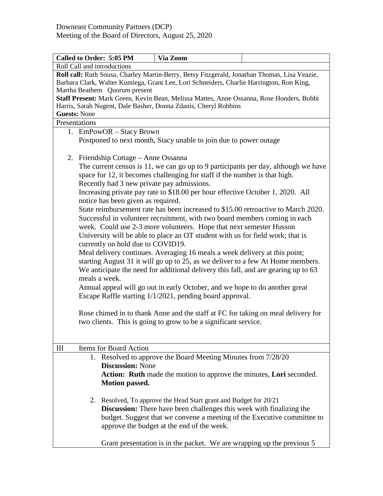| Called to Order: 5:05 PM                                                                                                                                                                                                                                                     | Via Zoom                                                                                                                                                                                                                                                                  |  |  |  |  |  |
|------------------------------------------------------------------------------------------------------------------------------------------------------------------------------------------------------------------------------------------------------------------------------|---------------------------------------------------------------------------------------------------------------------------------------------------------------------------------------------------------------------------------------------------------------------------|--|--|--|--|--|
| Roll Call and introductions                                                                                                                                                                                                                                                  |                                                                                                                                                                                                                                                                           |  |  |  |  |  |
| Roll call: Ruth Sousa, Charley Martin-Berry, Betsy Fitzgerald, Jonathan Thomas, Lisa Veazie,<br>Barbara Clark, Walter Kumiega, Grant Lee, Lori Schneiders, Charlie Harrington, Ron King,<br>Martha Beathem Quorum present                                                    |                                                                                                                                                                                                                                                                           |  |  |  |  |  |
| Staff Present: Mark Green, Kevin Bean, Melissa Mattes, Anne Ossanna, Rose Honders, Bobbi                                                                                                                                                                                     |                                                                                                                                                                                                                                                                           |  |  |  |  |  |
| Harris, Sarah Nugent, Dale Basher, Donna Zdanis, Cheryl Robbins                                                                                                                                                                                                              |                                                                                                                                                                                                                                                                           |  |  |  |  |  |
| <b>Guests: None</b>                                                                                                                                                                                                                                                          |                                                                                                                                                                                                                                                                           |  |  |  |  |  |
| Presentations                                                                                                                                                                                                                                                                |                                                                                                                                                                                                                                                                           |  |  |  |  |  |
| 1. EmPowOR – Stacy Brown                                                                                                                                                                                                                                                     |                                                                                                                                                                                                                                                                           |  |  |  |  |  |
|                                                                                                                                                                                                                                                                              | Postponed to next month, Stacy unable to join due to power outage                                                                                                                                                                                                         |  |  |  |  |  |
| 2. Friendship Cottage - Anne Ossanna                                                                                                                                                                                                                                         |                                                                                                                                                                                                                                                                           |  |  |  |  |  |
| The current census is 11, we can go up to 9 participants per day, although we have<br>space for 12, it becomes challenging for staff if the number is that high.                                                                                                             |                                                                                                                                                                                                                                                                           |  |  |  |  |  |
| Recently had 3 new private pay admissions.<br>Increasing private pay rate to \$18.00 per hour effective October 1, 2020. All                                                                                                                                                 |                                                                                                                                                                                                                                                                           |  |  |  |  |  |
| notice has been given as required.<br>State reimbursement rate has been increased to \$15.00 retroactive to March 2020.<br>Successful in volunteer recruitment, with two board members coming in each<br>week. Could use 2-3 more volunteers. Hope that next semester Husson |                                                                                                                                                                                                                                                                           |  |  |  |  |  |
|                                                                                                                                                                                                                                                                              | University will be able to place an OT student with us for field work; that is<br>currently on hold due to COVID19.                                                                                                                                                       |  |  |  |  |  |
|                                                                                                                                                                                                                                                                              | Meal delivery continues. Averaging 16 meals a week delivery at this point;<br>starting August 31 it will go up to 25, as we deliver to a few At Home members.<br>We anticipate the need for additional delivery this fall, and are gearing up to 63                       |  |  |  |  |  |
|                                                                                                                                                                                                                                                                              | meals a week.<br>Annual appeal will go out in early October, and we hope to do another great<br>Escape Raffle starting 1/1/2021, pending board approval.                                                                                                                  |  |  |  |  |  |
| Rose chimed in to thank Anne and the staff at FC for taking on meal delivery for<br>two clients. This is going to grow to be a significant service.                                                                                                                          |                                                                                                                                                                                                                                                                           |  |  |  |  |  |
|                                                                                                                                                                                                                                                                              |                                                                                                                                                                                                                                                                           |  |  |  |  |  |
| <b>Items for Board Action</b><br>$\mathop{\rm III}$                                                                                                                                                                                                                          |                                                                                                                                                                                                                                                                           |  |  |  |  |  |
| <b>Discussion: None</b><br>Motion passed.                                                                                                                                                                                                                                    | 1. Resolved to approve the Board Meeting Minutes from 7/28/20<br>Action: Ruth made the motion to approve the minutes, Lori seconded.                                                                                                                                      |  |  |  |  |  |
|                                                                                                                                                                                                                                                                              | 2. Resolved, To approve the Head Start grant and Budget for 20/21<br><b>Discussion:</b> There have been challenges this week with finalizing the<br>budget. Suggest that we convene a meeting of the Executive committee to<br>approve the budget at the end of the week. |  |  |  |  |  |
|                                                                                                                                                                                                                                                                              | Grant presentation is in the packet. We are wrapping up the previous 5                                                                                                                                                                                                    |  |  |  |  |  |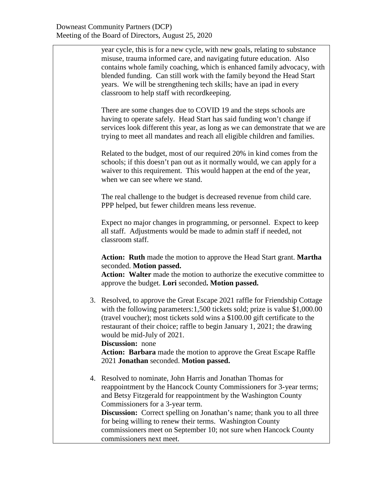year cycle, this is for a new cycle, with new goals, relating to substance misuse, trauma informed care, and navigating future education. Also contains whole family coaching, which is enhanced family advocacy, with blended funding. Can still work with the family beyond the Head Start years. We will be strengthening tech skills; have an ipad in every classroom to help staff with recordkeeping.

There are some changes due to COVID 19 and the steps schools are having to operate safely. Head Start has said funding won't change if services look different this year, as long as we can demonstrate that we are trying to meet all mandates and reach all eligible children and families.

Related to the budget, most of our required 20% in kind comes from the schools; if this doesn't pan out as it normally would, we can apply for a waiver to this requirement. This would happen at the end of the year, when we can see where we stand.

The real challenge to the budget is decreased revenue from child care. PPP helped, but fewer children means less revenue.

Expect no major changes in programming, or personnel. Expect to keep all staff. Adjustments would be made to admin staff if needed, not classroom staff.

**Action: Ruth** made the motion to approve the Head Start grant. **Martha** seconded. **Motion passed.**

**Action: Walter** made the motion to authorize the executive committee to approve the budget. **Lori** seconded**. Motion passed.**

3. Resolved, to approve the Great Escape 2021 raffle for Friendship Cottage with the following parameters: 1,500 tickets sold; prize is value \$1,000.00 (travel voucher); most tickets sold wins a \$100.00 gift certificate to the restaurant of their choice; raffle to begin January 1, 2021; the drawing would be mid-July of 2021.

**Discussion:** none **Action: Barbara** made the motion to approve the Great Escape Raffle 2021 **Jonathan** seconded. **Motion passed.**

4. Resolved to nominate, John Harris and Jonathan Thomas for reappointment by the Hancock County Commissioners for 3-year terms; and Betsy Fitzgerald for reappointment by the Washington County Commissioners for a 3-year term. **Discussion:** Correct spelling on Jonathan's name; thank you to all three for being willing to renew their terms. Washington County commissioners meet on September 10; not sure when Hancock County commissioners next meet.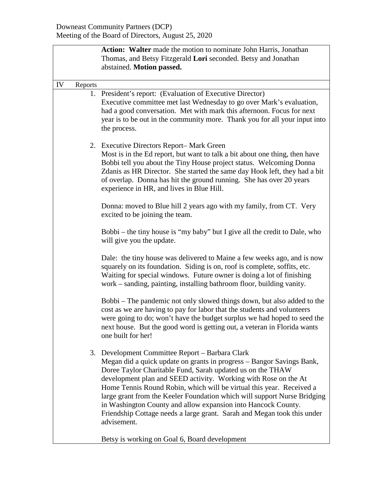|    |         | Action: Walter made the motion to nominate John Harris, Jonathan<br>Thomas, and Betsy Fitzgerald Lori seconded. Betsy and Jonathan<br>abstained. Motion passed.                                                                                                                                                                                                                                                                                                                                                                                                          |  |  |
|----|---------|--------------------------------------------------------------------------------------------------------------------------------------------------------------------------------------------------------------------------------------------------------------------------------------------------------------------------------------------------------------------------------------------------------------------------------------------------------------------------------------------------------------------------------------------------------------------------|--|--|
| IV | Reports |                                                                                                                                                                                                                                                                                                                                                                                                                                                                                                                                                                          |  |  |
|    |         | 1. President's report: (Evaluation of Executive Director)<br>Executive committee met last Wednesday to go over Mark's evaluation,<br>had a good conversation. Met with mark this afternoon. Focus for next<br>year is to be out in the community more. Thank you for all your input into<br>the process.                                                                                                                                                                                                                                                                 |  |  |
|    |         | 2. Executive Directors Report-Mark Green<br>Most is in the Ed report, but want to talk a bit about one thing, then have<br>Bobbi tell you about the Tiny House project status. Welcoming Donna<br>Zdanis as HR Director. She started the same day Hook left, they had a bit<br>of overlap. Donna has hit the ground running. She has over 20 years<br>experience in HR, and lives in Blue Hill.                                                                                                                                                                          |  |  |
|    |         | Donna: moved to Blue hill 2 years ago with my family, from CT. Very<br>excited to be joining the team.                                                                                                                                                                                                                                                                                                                                                                                                                                                                   |  |  |
|    |         | Bobbi – the tiny house is "my baby" but I give all the credit to Dale, who<br>will give you the update.                                                                                                                                                                                                                                                                                                                                                                                                                                                                  |  |  |
|    |         | Dale: the tiny house was delivered to Maine a few weeks ago, and is now<br>squarely on its foundation. Siding is on, roof is complete, soffits, etc.<br>Waiting for special windows. Future owner is doing a lot of finishing<br>work – sanding, painting, installing bathroom floor, building vanity.                                                                                                                                                                                                                                                                   |  |  |
|    |         | Bobbi – The pandemic not only slowed things down, but also added to the<br>cost as we are having to pay for labor that the students and volunteers<br>were going to do; won't have the budget surplus we had hoped to seed the<br>next house. But the good word is getting out, a veteran in Florida wants<br>one built for her!                                                                                                                                                                                                                                         |  |  |
|    |         | 3. Development Committee Report - Barbara Clark<br>Megan did a quick update on grants in progress – Bangor Savings Bank,<br>Doree Taylor Charitable Fund, Sarah updated us on the THAW<br>development plan and SEED activity. Working with Rose on the At<br>Home Tennis Round Robin, which will be virtual this year. Received a<br>large grant from the Keeler Foundation which will support Nurse Bridging<br>in Washington County and allow expansion into Hancock County.<br>Friendship Cottage needs a large grant. Sarah and Megan took this under<br>advisement. |  |  |
|    |         | Betsy is working on Goal 6, Board development                                                                                                                                                                                                                                                                                                                                                                                                                                                                                                                            |  |  |